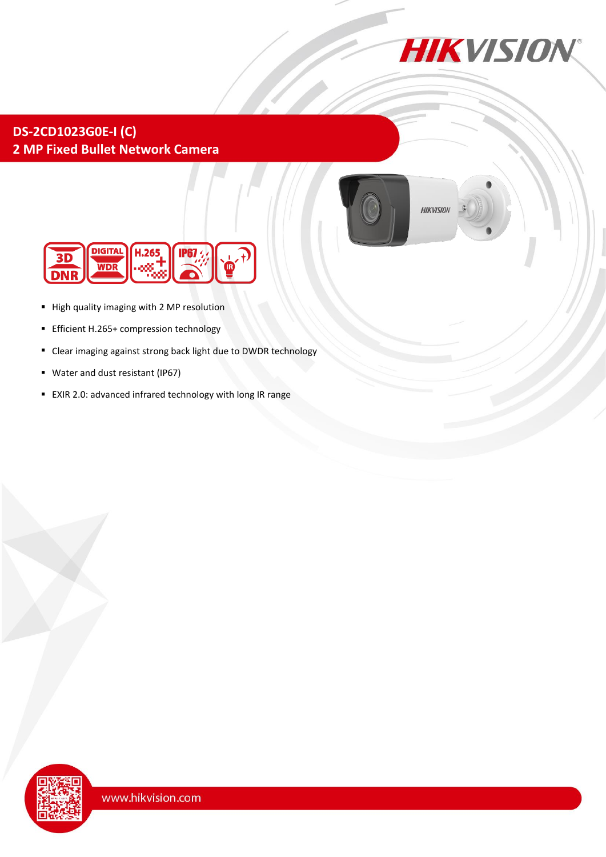

## **DS-2CD1023G0E-I (C) 2 MP Fixed Bullet Network Camera**



**HIKVISION** 



- High quality imaging with 2 MP resolution
- Efficient H.265+ compression technology
- Clear imaging against strong back light due to DWDR technology
- Water and dust resistant (IP67)
- EXIR 2.0: advanced infrared technology with long IR range

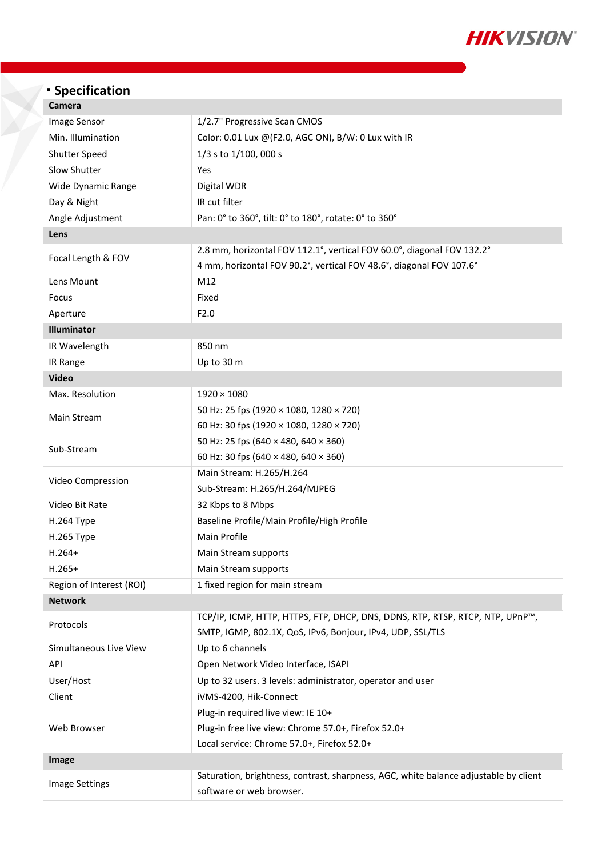

# <sup>◼</sup> **Specification**

| Camera                   |                                                                                      |  |
|--------------------------|--------------------------------------------------------------------------------------|--|
| Image Sensor             | 1/2.7" Progressive Scan CMOS                                                         |  |
| Min. Illumination        | Color: 0.01 Lux @(F2.0, AGC ON), B/W: 0 Lux with IR                                  |  |
| Shutter Speed            | 1/3 s to 1/100, 000 s                                                                |  |
| Slow Shutter             | Yes                                                                                  |  |
| Wide Dynamic Range       | Digital WDR                                                                          |  |
| Day & Night              | IR cut filter                                                                        |  |
| Angle Adjustment         | Pan: 0° to 360°, tilt: 0° to 180°, rotate: 0° to 360°                                |  |
| Lens                     |                                                                                      |  |
| Focal Length & FOV       | 2.8 mm, horizontal FOV 112.1°, vertical FOV 60.0°, diagonal FOV 132.2°               |  |
|                          | 4 mm, horizontal FOV 90.2°, vertical FOV 48.6°, diagonal FOV 107.6°                  |  |
| Lens Mount               | M12                                                                                  |  |
| Focus                    | Fixed                                                                                |  |
| Aperture                 | F2.0                                                                                 |  |
| Illuminator              |                                                                                      |  |
| IR Wavelength            | 850 nm                                                                               |  |
| IR Range                 | Up to 30 m                                                                           |  |
| <b>Video</b>             |                                                                                      |  |
| Max. Resolution          | $1920 \times 1080$                                                                   |  |
| Main Stream              | 50 Hz: 25 fps (1920 × 1080, 1280 × 720)                                              |  |
|                          | 60 Hz: 30 fps (1920 × 1080, 1280 × 720)                                              |  |
| Sub-Stream               | 50 Hz: 25 fps (640 × 480, 640 × 360)                                                 |  |
|                          | 60 Hz: 30 fps (640 × 480, 640 × 360)                                                 |  |
| Video Compression        | Main Stream: H.265/H.264                                                             |  |
|                          | Sub-Stream: H.265/H.264/MJPEG                                                        |  |
| Video Bit Rate           | 32 Kbps to 8 Mbps                                                                    |  |
| H.264 Type               | Baseline Profile/Main Profile/High Profile                                           |  |
| H.265 Type               | Main Profile                                                                         |  |
| $H.264+$                 | Main Stream supports                                                                 |  |
| $H.265+$                 | Main Stream supports                                                                 |  |
| Region of Interest (ROI) | 1 fixed region for main stream                                                       |  |
| <b>Network</b>           |                                                                                      |  |
| Protocols                | TCP/IP, ICMP, HTTP, HTTPS, FTP, DHCP, DNS, DDNS, RTP, RTSP, RTCP, NTP, UPnP™,        |  |
|                          | SMTP, IGMP, 802.1X, QoS, IPv6, Bonjour, IPv4, UDP, SSL/TLS                           |  |
| Simultaneous Live View   | Up to 6 channels                                                                     |  |
| API                      | Open Network Video Interface, ISAPI                                                  |  |
| User/Host                | Up to 32 users. 3 levels: administrator, operator and user                           |  |
| Client                   | iVMS-4200, Hik-Connect                                                               |  |
| Web Browser              | Plug-in required live view: IE 10+                                                   |  |
|                          | Plug-in free live view: Chrome 57.0+, Firefox 52.0+                                  |  |
|                          | Local service: Chrome 57.0+, Firefox 52.0+                                           |  |
| Image                    |                                                                                      |  |
| <b>Image Settings</b>    | Saturation, brightness, contrast, sharpness, AGC, white balance adjustable by client |  |
|                          | software or web browser.                                                             |  |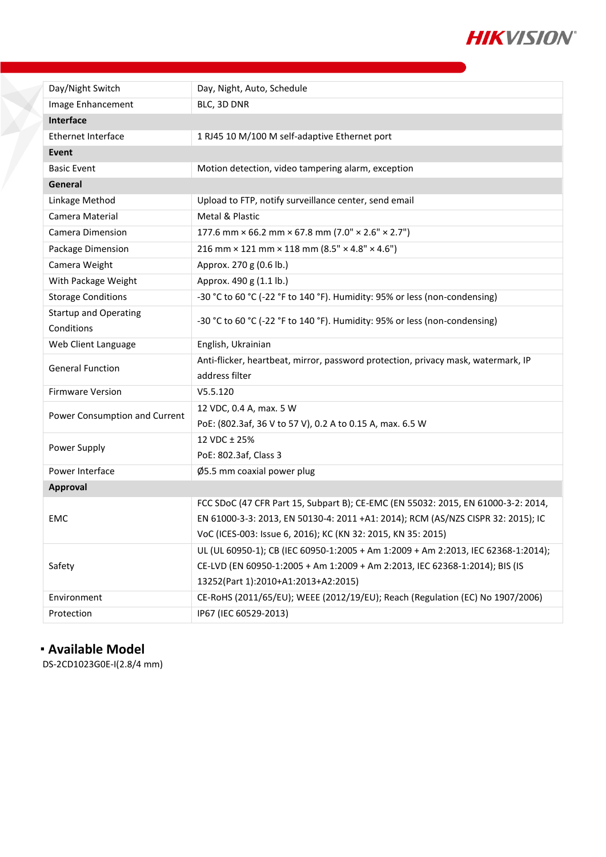

| Day/Night Switch              | Day, Night, Auto, Schedule                                                        |  |
|-------------------------------|-----------------------------------------------------------------------------------|--|
| Image Enhancement             | BLC, 3D DNR                                                                       |  |
| <b>Interface</b>              |                                                                                   |  |
| <b>Ethernet Interface</b>     | 1 RJ45 10 M/100 M self-adaptive Ethernet port                                     |  |
| Event                         |                                                                                   |  |
| <b>Basic Event</b>            | Motion detection, video tampering alarm, exception                                |  |
| General                       |                                                                                   |  |
| Linkage Method                | Upload to FTP, notify surveillance center, send email                             |  |
| Camera Material               | Metal & Plastic                                                                   |  |
| Camera Dimension              | 177.6 mm $\times$ 66.2 mm $\times$ 67.8 mm (7.0" $\times$ 2.6" $\times$ 2.7")     |  |
| Package Dimension             | 216 mm $\times$ 121 mm $\times$ 118 mm (8.5" $\times$ 4.8" $\times$ 4.6")         |  |
| Camera Weight                 | Approx. 270 g (0.6 lb.)                                                           |  |
| With Package Weight           | Approx. 490 g (1.1 lb.)                                                           |  |
| <b>Storage Conditions</b>     | -30 °C to 60 °C (-22 °F to 140 °F). Humidity: 95% or less (non-condensing)        |  |
| <b>Startup and Operating</b>  | -30 °C to 60 °C (-22 °F to 140 °F). Humidity: 95% or less (non-condensing)        |  |
| Conditions                    |                                                                                   |  |
| Web Client Language           | English, Ukrainian                                                                |  |
| <b>General Function</b>       | Anti-flicker, heartbeat, mirror, password protection, privacy mask, watermark, IP |  |
|                               | address filter                                                                    |  |
| <b>Firmware Version</b>       | V5.5.120                                                                          |  |
| Power Consumption and Current | 12 VDC, 0.4 A, max. 5 W                                                           |  |
|                               | PoE: (802.3af, 36 V to 57 V), 0.2 A to 0.15 A, max. 6.5 W                         |  |
| Power Supply                  | 12 VDC ± 25%                                                                      |  |
|                               | PoE: 802.3af, Class 3                                                             |  |
| Power Interface               | Ø5.5 mm coaxial power plug                                                        |  |
| <b>Approval</b>               |                                                                                   |  |
| <b>EMC</b>                    | FCC SDoC (47 CFR Part 15, Subpart B); CE-EMC (EN 55032: 2015, EN 61000-3-2: 2014, |  |
|                               | EN 61000-3-3: 2013, EN 50130-4: 2011 +A1: 2014); RCM (AS/NZS CISPR 32: 2015); IC  |  |
|                               | VoC (ICES-003: Issue 6, 2016); KC (KN 32: 2015, KN 35: 2015)                      |  |
| Safety                        | UL (UL 60950-1); CB (IEC 60950-1:2005 + Am 1:2009 + Am 2:2013, IEC 62368-1:2014); |  |
|                               | CE-LVD (EN 60950-1:2005 + Am 1:2009 + Am 2:2013, IEC 62368-1:2014); BIS (IS       |  |
|                               | 13252(Part 1):2010+A1:2013+A2:2015)                                               |  |
| Environment                   | CE-RoHS (2011/65/EU); WEEE (2012/19/EU); Reach (Regulation (EC) No 1907/2006)     |  |
| Protection                    | IP67 (IEC 60529-2013)                                                             |  |

## <sup>◼</sup> **Available Model**

¥

DS-2CD1023G0E-I(2.8/4 mm)